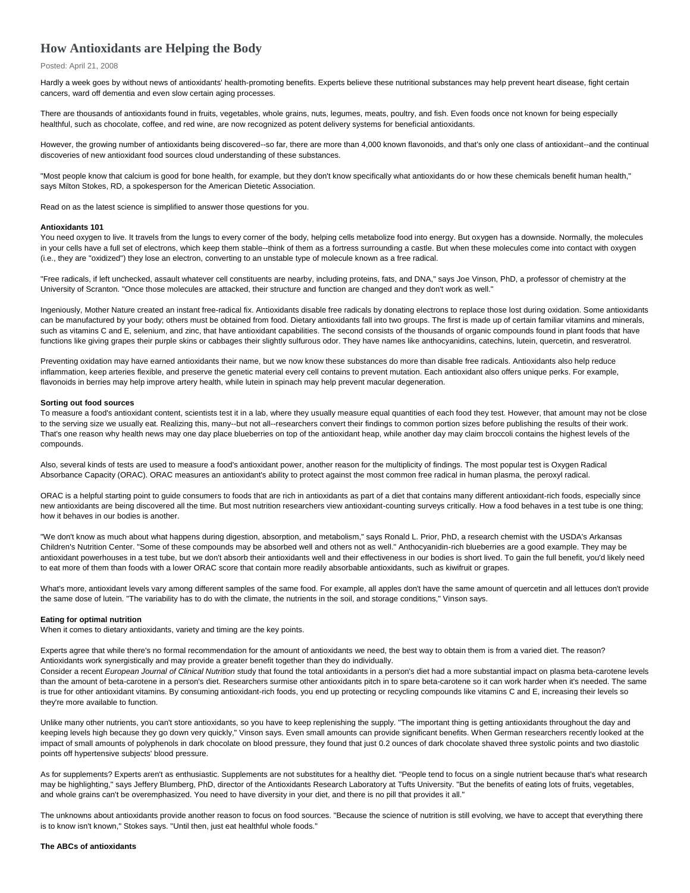# **How Antioxidants are Helping the Body**

## Posted: April 21, 2008

Hardly a week goes by without news of antioxidants' health-promoting benefits. Experts believe these nutritional substances may help prevent heart disease, fight certain cancers, ward off dementia and even slow certain aging processes.

There are thousands of antioxidants found in fruits, vegetables, whole grains, nuts, legumes, meats, poultry, and fish. Even foods once not known for being especially healthful, such as chocolate, coffee, and red wine, are now recognized as potent delivery systems for beneficial antioxidants.

However, the growing number of antioxidants being discovered--so far, there are more than 4,000 known flavonoids, and that's only one class of antioxidant--and the continual discoveries of new antioxidant food sources cloud understanding of these substances.

"Most people know that calcium is good for bone health, for example, but they don't know specifically what antioxidants do or how these chemicals benefit human health," says Milton Stokes, RD, a spokesperson for the American Dietetic Association.

Read on as the latest science is simplified to answer those questions for you.

#### **Antioxidants 101**

You need oxygen to live. It travels from the lungs to every corner of the body, helping cells metabolize food into energy. But oxygen has a downside. Normally, the molecules in your cells have a full set of electrons, which keep them stable--think of them as a fortress surrounding a castle. But when these molecules come into contact with oxygen (i.e., they are "oxidized") they lose an electron, converting to an unstable type of molecule known as a free radical.

"Free radicals, if left unchecked, assault whatever cell constituents are nearby, including proteins, fats, and DNA," says Joe Vinson, PhD, a professor of chemistry at the University of Scranton. "Once those molecules are attacked, their structure and function are changed and they don't work as well."

Ingeniously, Mother Nature created an instant free-radical fix. Antioxidants disable free radicals by donating electrons to replace those lost during oxidation. Some antioxidants can be manufactured by your body; others must be obtained from food. Dietary antioxidants fall into two groups. The first is made up of certain familiar vitamins and minerals, such as vitamins C and E, selenium, and zinc, that have antioxidant capabilities. The second consists of the thousands of organic compounds found in plant foods that have functions like giving grapes their purple skins or cabbages their slightly sulfurous odor. They have names like anthocyanidins, catechins, lutein, quercetin, and resveratrol.

Preventing oxidation may have earned antioxidants their name, but we now know these substances do more than disable free radicals. Antioxidants also help reduce inflammation, keep arteries flexible, and preserve the genetic material every cell contains to prevent mutation. Each antioxidant also offers unique perks. For example, flavonoids in berries may help improve artery health, while lutein in spinach may help prevent macular degeneration.

#### **Sorting out food sources**

To measure a food's antioxidant content, scientists test it in a lab, where they usually measure equal quantities of each food they test. However, that amount may not be close to the serving size we usually eat. Realizing this, many--but not all--researchers convert their findings to common portion sizes before publishing the results of their work. That's one reason why health news may one day place blueberries on top of the antioxidant heap, while another day may claim broccoli contains the highest levels of the compounds.

Also, several kinds of tests are used to measure a food's antioxidant power, another reason for the multiplicity of findings. The most popular test is Oxygen Radical Absorbance Capacity (ORAC). ORAC measures an antioxidant's ability to protect against the most common free radical in human plasma, the peroxyl radical.

ORAC is a helpful starting point to guide consumers to foods that are rich in antioxidants as part of a diet that contains many different antioxidant-rich foods, especially since new antioxidants are being discovered all the time. But most nutrition researchers view antioxidant-counting surveys critically. How a food behaves in a test tube is one thing; how it behaves in our bodies is another.

"We don't know as much about what happens during digestion, absorption, and metabolism," says Ronald L. Prior, PhD, a research chemist with the USDA's Arkansas Children's Nutrition Center. "Some of these compounds may be absorbed well and others not as well." Anthocyanidin-rich blueberries are a good example. They may be antioxidant powerhouses in a test tube, but we don't absorb their antioxidants well and their effectiveness in our bodies is short lived. To gain the full benefit, you'd likely need to eat more of them than foods with a lower ORAC score that contain more readily absorbable antioxidants, such as kiwifruit or grapes.

What's more, antioxidant levels vary among different samples of the same food. For example, all apples don't have the same amount of quercetin and all lettuces don't provide the same dose of lutein. "The variability has to do with the climate, the nutrients in the soil, and storage conditions," Vinson says.

## **Eating for optimal nutrition**

When it comes to dietary antioxidants, variety and timing are the key points.

Experts agree that while there's no formal recommendation for the amount of antioxidants we need, the best way to obtain them is from a varied diet. The reason? Antioxidants work synergistically and may provide a greater benefit together than they do individually.

Consider a recent *European Journal of Clinical Nutrition* study that found the total antioxidants in a person's diet had a more substantial impact on plasma beta-carotene levels than the amount of beta-carotene in a person's diet. Researchers surmise other antioxidants pitch in to spare beta-carotene so it can work harder when it's needed. The same is true for other antioxidant vitamins. By consuming antioxidant-rich foods, you end up protecting or recycling compounds like vitamins C and E, increasing their levels so they're more available to function.

Unlike many other nutrients, you can't store antioxidants, so you have to keep replenishing the supply. "The important thing is getting antioxidants throughout the day and keeping levels high because they go down very quickly," Vinson says. Even small amounts can provide significant benefits. When German researchers recently looked at the impact of small amounts of polyphenols in dark chocolate on blood pressure, they found that just 0.2 ounces of dark chocolate shaved three systolic points and two diastolic points off hypertensive subjects' blood pressure.

As for supplements? Experts aren't as enthusiastic. Supplements are not substitutes for a healthy diet. "People tend to focus on a single nutrient because that's what research may be highlighting," says Jeffery Blumberg, PhD, director of the Antioxidants Research Laboratory at Tufts University. "But the benefits of eating lots of fruits, vegetables, and whole grains can't be overemphasized. You need to have diversity in your diet, and there is no pill that provides it all."

The unknowns about antioxidants provide another reason to focus on food sources. "Because the science of nutrition is still evolving, we have to accept that everything there is to know isn't known," Stokes says. "Until then, just eat healthful whole foods."

## **The ABCs of antioxidants**